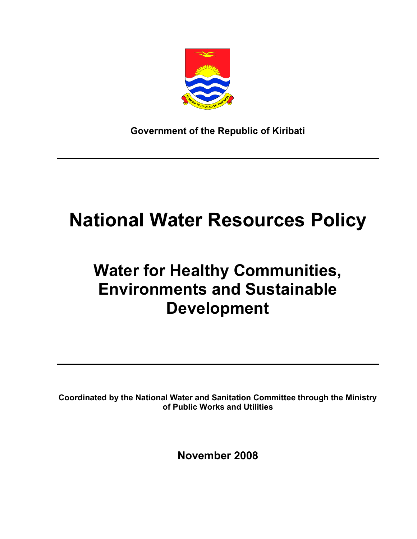

**Government of the Republic of Kiribati**

# **National Water Resources Policy**

## **Water for Healthy Communities, Environments and Sustainable Development**

**Coordinated by the National Water and Sanitation Committee through the Ministry of Public Works and Utilities**

**November 2008**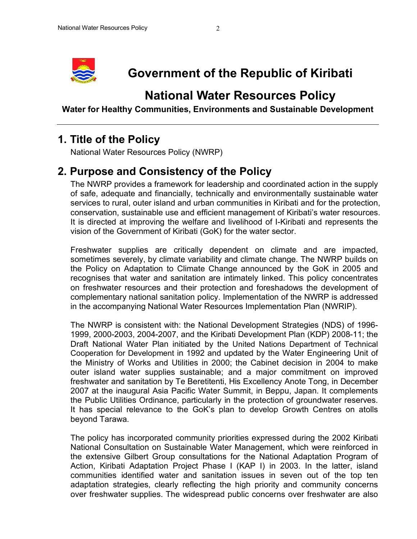

## **Government of the Republic of Kiribati**

## **National Water Resources Policy**

**Water for Healthy Communities, Environments and Sustainable Development**

### **1. Title of the Policy**

National Water Resources Policy (NWRP)

#### **2. Purpose and Consistency of the Policy**

The NWRP provides a framework for leadership and coordinated action in the supply of safe, adequate and financially, technically and environmentally sustainable water services to rural, outer island and urban communities in Kiribati and for the protection, conservation, sustainable use and efficient management of Kiribati's water resources. It is directed at improving the welfare and livelihood of I-Kiribati and represents the vision of the Government of Kiribati (GoK) for the water sector.

Freshwater supplies are critically dependent on climate and are impacted, sometimes severely, by climate variability and climate change. The NWRP builds on the Policy on Adaptation to Climate Change announced by the GoK in 2005 and recognises that water and sanitation are intimately linked. This policy concentrates on freshwater resources and their protection and foreshadows the development of complementary national sanitation policy. Implementation of the NWRP is addressed in the accompanying National Water Resources Implementation Plan (NWRIP).

The NWRP is consistent with: the National Development Strategies (NDS) of 1996- 1999, 2000-2003, 2004-2007, and the Kiribati Development Plan (KDP) 2008-11; the Draft National Water Plan initiated by the United Nations Department of Technical Cooperation for Development in 1992 and updated by the Water Engineering Unit of the Ministry of Works and Utilities in 2000; the Cabinet decision in 2004 to make outer island water supplies sustainable; and a major commitment on improved freshwater and sanitation by Te Beretitenti, His Excellency Anote Tong, in December 2007 at the inaugural Asia Pacific Water Summit, in Beppu, Japan. It complements the Public Utilities Ordinance, particularly in the protection of groundwater reserves. It has special relevance to the GoK's plan to develop Growth Centres on atolls beyond Tarawa.

The policy has incorporated community priorities expressed during the 2002 Kiribati National Consultation on Sustainable Water Management, which were reinforced in the extensive Gilbert Group consultations for the National Adaptation Program of Action, Kiribati Adaptation Project Phase I (KAP I) in 2003. In the latter, island communities identified water and sanitation issues in seven out of the top ten adaptation strategies, clearly reflecting the high priority and community concerns over freshwater supplies. The widespread public concerns over freshwater are also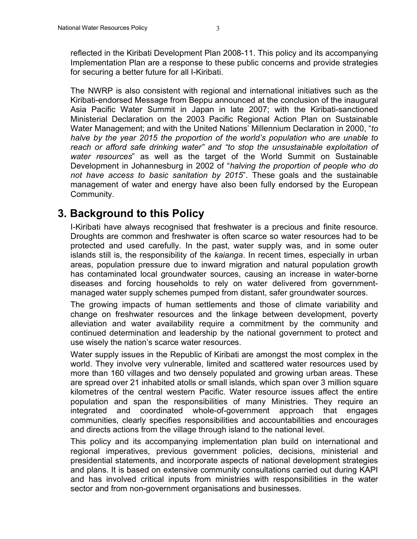reflected in the Kiribati Development Plan 2008-11. This policy and its accompanying Implementation Plan are a response to these public concerns and provide strategies for securing a better future for all I-Kiribati.

The NWRP is also consistent with regional and international initiatives such as the Kiribati-endorsed Message from Beppu announced at the conclusion of the inaugural Asia Pacific Water Summit in Japan in late 2007; with the Kiribati-sanctioned Ministerial Declaration on the 2003 Pacific Regional Action Plan on Sustainable Water Management; and with the United Nations' Millennium Declaration in 2000, "*to halve by the year 2015 the proportion of the world's population who are unable to reach or afford safe drinking water" and "to stop the unsustainable exploitation of water resources*" as well as the target of the World Summit on Sustainable Development in Johannesburg in 2002 of "*halving the proportion of people who do not have access to basic sanitation by 2015*". These goals and the sustainable management of water and energy have also been fully endorsed by the European Community.

#### **3. Background to this Policy**

I-Kiribati have always recognised that freshwater is a precious and finite resource. Droughts are common and freshwater is often scarce so water resources had to be protected and used carefully. In the past, water supply was, and in some outer islands still is, the responsibility of the *kaianga*. In recent times, especially in urban areas, population pressure due to inward migration and natural population growth has contaminated local groundwater sources, causing an increase in water-borne diseases and forcing households to rely on water delivered from governmentmanaged water supply schemes pumped from distant, safer groundwater sources.

The growing impacts of human settlements and those of climate variability and change on freshwater resources and the linkage between development, poverty alleviation and water availability require a commitment by the community and continued determination and leadership by the national government to protect and use wisely the nation's scarce water resources.

Water supply issues in the Republic of Kiribati are amongst the most complex in the world. They involve very vulnerable, limited and scattered water resources used by more than 160 villages and two densely populated and growing urban areas. These are spread over 21 inhabited atolls or small islands, which span over 3 million square kilometres of the central western Pacific. Water resource issues affect the entire population and span the responsibilities of many Ministries. They require an integrated and coordinated whole-of-government approach that engages communities, clearly specifies responsibilities and accountabilities and encourages and directs actions from the village through island to the national level.

This policy and its accompanying implementation plan build on international and regional imperatives, previous government policies, decisions, ministerial and presidential statements, and incorporate aspects of national development strategies and plans. It is based on extensive community consultations carried out during KAPI and has involved critical inputs from ministries with responsibilities in the water sector and from non-government organisations and businesses.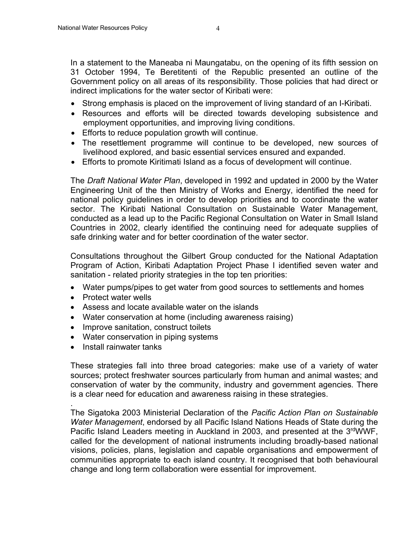In a statement to the Maneaba ni Maungatabu, on the opening of its fifth session on 31 October 1994, Te Beretitenti of the Republic presented an outline of the Government policy on all areas of its responsibility. Those policies that had direct or indirect implications for the water sector of Kiribati were:

- Strong emphasis is placed on the improvement of living standard of an I-Kiribati.
- Resources and efforts will be directed towards developing subsistence and employment opportunities, and improving living conditions.
- Efforts to reduce population growth will continue.
- The resettlement programme will continue to be developed, new sources of livelihood explored, and basic essential services ensured and expanded.
- Efforts to promote Kiritimati Island as a focus of development will continue.

The *Draft National Water Plan*, developed in 1992 and updated in 2000 by the Water Engineering Unit of the then Ministry of Works and Energy, identified the need for national policy guidelines in order to develop priorities and to coordinate the water sector. The Kiribati National Consultation on Sustainable Water Management, conducted as a lead up to the Pacific Regional Consultation on Water in Small Island Countries in 2002, clearly identified the continuing need for adequate supplies of safe drinking water and for better coordination of the water sector.

Consultations throughout the Gilbert Group conducted for the National Adaptation Program of Action, Kiribati Adaptation Project Phase I identified seven water and sanitation - related priority strategies in the top ten priorities:

- Water pumps/pipes to get water from good sources to settlements and homes
- Protect water wells
- Assess and locate available water on the islands
- Water conservation at home (including awareness raising)
- Improve sanitation, construct toilets
- Water conservation in piping systems
- Install rainwater tanks

.

These strategies fall into three broad categories: make use of a variety of water sources; protect freshwater sources particularly from human and animal wastes; and conservation of water by the community, industry and government agencies. There is a clear need for education and awareness raising in these strategies.

The Sigatoka 2003 Ministerial Declaration of the *Pacific Action Plan on Sustainable Water Management*, endorsed by all Pacific Island Nations Heads of State during the Pacific Island Leaders meeting in Auckland in 2003, and presented at the 3<sup>rd</sup>WWF, called for the development of national instruments including broadly-based national visions, policies, plans, legislation and capable organisations and empowerment of communities appropriate to each island country. It recognised that both behavioural change and long term collaboration were essential for improvement.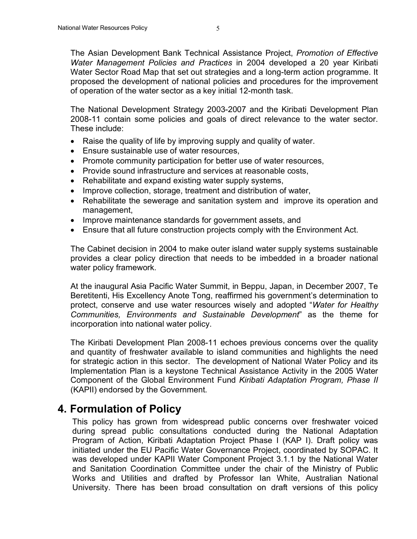The Asian Development Bank Technical Assistance Project, *Promotion of Effective Water Management Policies and Practices* in 2004 developed a 20 year Kiribati Water Sector Road Map that set out strategies and a long-term action programme. It proposed the development of national policies and procedures for the improvement of operation of the water sector as a key initial 12-month task.

The National Development Strategy 2003-2007 and the Kiribati Development Plan 2008-11 contain some policies and goals of direct relevance to the water sector. These include:

- Raise the quality of life by improving supply and quality of water.
- Ensure sustainable use of water resources,
- Promote community participation for better use of water resources,
- Provide sound infrastructure and services at reasonable costs,
- Rehabilitate and expand existing water supply systems,
- Improve collection, storage, treatment and distribution of water,
- Rehabilitate the sewerage and sanitation system and improve its operation and management,
- Improve maintenance standards for government assets, and
- Ensure that all future construction projects comply with the Environment Act.

The Cabinet decision in 2004 to make outer island water supply systems sustainable provides a clear policy direction that needs to be imbedded in a broader national water policy framework.

At the inaugural Asia Pacific Water Summit, in Beppu, Japan, in December 2007, Te Beretitenti, His Excellency Anote Tong, reaffirmed his government's determination to protect, conserve and use water resources wisely and adopted "*Water for Healthy Communities, Environments and Sustainable Development*" as the theme for incorporation into national water policy.

The Kiribati Development Plan 2008-11 echoes previous concerns over the quality and quantity of freshwater available to island communities and highlights the need for strategic action in this sector. The development of National Water Policy and its Implementation Plan is a keystone Technical Assistance Activity in the 2005 Water Component of the Global Environment Fund *Kiribati Adaptation Program, Phase II*  (KAPII) endorsed by the Government.

#### **4. Formulation of Policy**

This policy has grown from widespread public concerns over freshwater voiced during spread public consultations conducted during the National Adaptation Program of Action, Kiribati Adaptation Project Phase I (KAP I). Draft policy was initiated under the EU Pacific Water Governance Project, coordinated by SOPAC. It was developed under KAPII Water Component Project 3.1.1 by the National Water and Sanitation Coordination Committee under the chair of the Ministry of Public Works and Utilities and drafted by Professor Ian White, Australian National University. There has been broad consultation on draft versions of this policy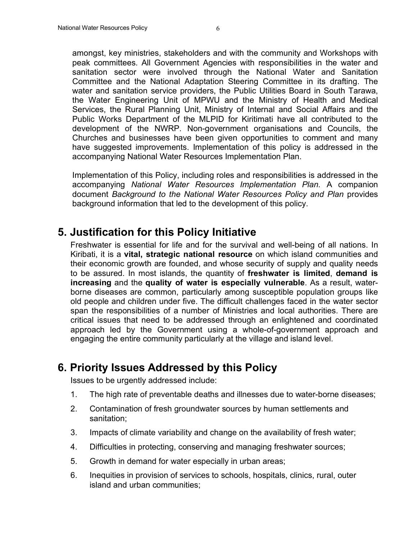amongst, key ministries, stakeholders and with the community and Workshops with peak committees. All Government Agencies with responsibilities in the water and sanitation sector were involved through the National Water and Sanitation Committee and the National Adaptation Steering Committee in its drafting. The water and sanitation service providers, the Public Utilities Board in South Tarawa, the Water Engineering Unit of MPWU and the Ministry of Health and Medical Services, the Rural Planning Unit, Ministry of Internal and Social Affairs and the Public Works Department of the MLPID for Kiritimati have all contributed to the development of the NWRP. Non-government organisations and Councils, the Churches and businesses have been given opportunities to comment and many have suggested improvements. Implementation of this policy is addressed in the accompanying National Water Resources Implementation Plan.

Implementation of this Policy, including roles and responsibilities is addressed in the accompanying *National Water Resources Implementation Plan.* A companion document *Background to the National Water Resources Policy and Plan* provides background information that led to the development of this policy.

#### **5. Justification for this Policy Initiative**

Freshwater is essential for life and for the survival and well-being of all nations. In Kiribati, it is a **vital, strategic national resource** on which island communities and their economic growth are founded, and whose security of supply and quality needs to be assured. In most islands, the quantity of **freshwater is limited**, **demand is increasing** and the **quality of water is especially vulnerable**. As a result, waterborne diseases are common, particularly among susceptible population groups like old people and children under five. The difficult challenges faced in the water sector span the responsibilities of a number of Ministries and local authorities. There are critical issues that need to be addressed through an enlightened and coordinated approach led by the Government using a whole-of-government approach and engaging the entire community particularly at the village and island level.

#### **6. Priority Issues Addressed by this Policy**

Issues to be urgently addressed include:

- 1. The high rate of preventable deaths and illnesses due to water-borne diseases;
- 2. Contamination of fresh groundwater sources by human settlements and sanitation;
- 3. Impacts of climate variability and change on the availability of fresh water;
- 4. Difficulties in protecting, conserving and managing freshwater sources;
- 5. Growth in demand for water especially in urban areas;
- 6. Inequities in provision of services to schools, hospitals, clinics, rural, outer island and urban communities;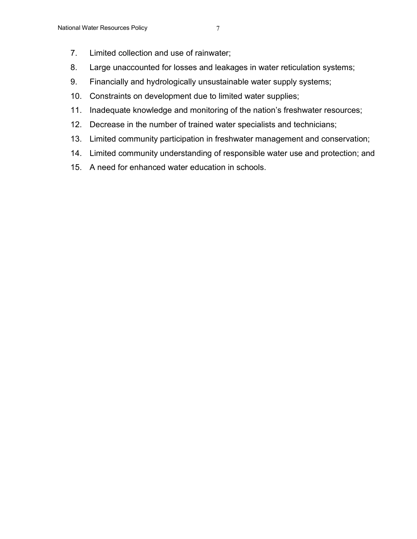- 7. Limited collection and use of rainwater;
- 8. Large unaccounted for losses and leakages in water reticulation systems;
- 9. Financially and hydrologically unsustainable water supply systems;
- 10. Constraints on development due to limited water supplies;
- 11. Inadequate knowledge and monitoring of the nation's freshwater resources;
- 12. Decrease in the number of trained water specialists and technicians;
- 13. Limited community participation in freshwater management and conservation;
- 14. Limited community understanding of responsible water use and protection; and
- 15. A need for enhanced water education in schools.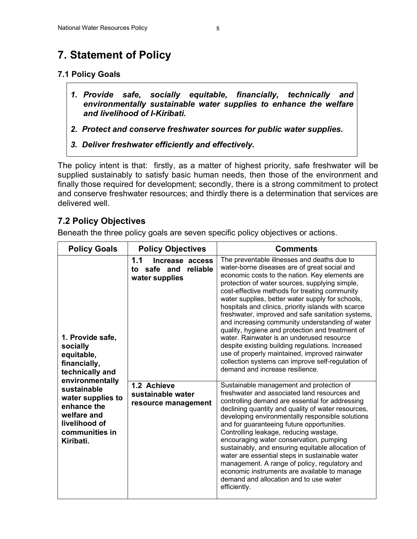## **7. Statement of Policy**

#### **7.1 Policy Goals**

- *1. Provide safe, socially equitable, financially, technically and environmentally sustainable water supplies to enhance the welfare and livelihood of I-Kiribati.*
- *2. Protect and conserve freshwater sources for public water supplies.*
- *3. Deliver freshwater efficiently and effectively.*

The policy intent is that: firstly, as a matter of highest priority, safe freshwater will be supplied sustainably to satisfy basic human needs, then those of the environment and finally those required for development; secondly, there is a strong commitment to protect and conserve freshwater resources; and thirdly there is a determination that services are delivered well.

#### **7.2 Policy Objectives**

Beneath the three policy goals are seven specific policy objectives or actions.

| <b>Policy Goals</b>                                                                                                                                                                                                | <b>Policy Objectives</b>                                            | Comments                                                                                                                                                                                                                                                                                                                                                                                                                                                                                                                                                                                                                                                                                                                                                           |
|--------------------------------------------------------------------------------------------------------------------------------------------------------------------------------------------------------------------|---------------------------------------------------------------------|--------------------------------------------------------------------------------------------------------------------------------------------------------------------------------------------------------------------------------------------------------------------------------------------------------------------------------------------------------------------------------------------------------------------------------------------------------------------------------------------------------------------------------------------------------------------------------------------------------------------------------------------------------------------------------------------------------------------------------------------------------------------|
| 1. Provide safe,<br>socially<br>equitable,<br>financially,<br>technically and<br>environmentally<br>sustainable<br>water supplies to<br>enhance the<br>welfare and<br>livelihood of<br>communities in<br>Kiribati. | 1.1<br>Increase access<br>reliable<br>to safe and<br>water supplies | The preventable illnesses and deaths due to<br>water-borne diseases are of great social and<br>economic costs to the nation. Key elements are<br>protection of water sources, supplying simple,<br>cost-effective methods for treating community<br>water supplies, better water supply for schools,<br>hospitals and clinics, priority islands with scarce<br>freshwater, improved and safe sanitation systems,<br>and increasing community understanding of water<br>quality, hygiene and protection and treatment of<br>water. Rainwater is an underused resource<br>despite existing building regulations. Increased<br>use of properly maintained, improved rainwater<br>collection systems can improve self-regulation of<br>demand and increase resilience. |
|                                                                                                                                                                                                                    | 1.2 Achieve<br>sustainable water<br>resource management             | Sustainable management and protection of<br>freshwater and associated land resources and<br>controlling demand are essential for addressing<br>declining quantity and quality of water resources,<br>developing environmentally responsible solutions<br>and for guaranteeing future opportunities.<br>Controlling leakage, reducing wastage,<br>encouraging water conservation, pumping<br>sustainably, and ensuring equitable allocation of<br>water are essential steps in sustainable water<br>management. A range of policy, regulatory and<br>economic instruments are available to manage<br>demand and allocation and to use water<br>efficiently.                                                                                                         |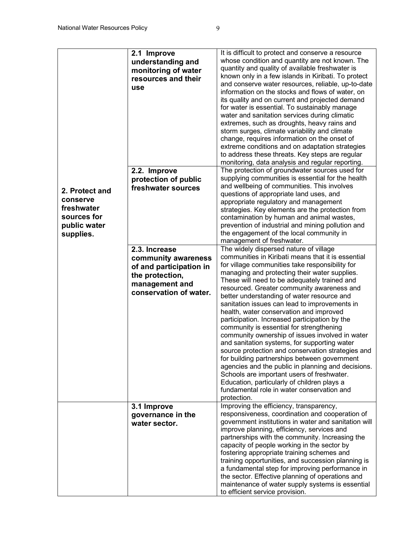|                | 2.1 Improve<br>understanding and<br>monitoring of water<br>resources and their<br>use | It is difficult to protect and conserve a resource<br>whose condition and quantity are not known. The<br>quantity and quality of available freshwater is<br>known only in a few islands in Kiribati. To protect<br>and conserve water resources, reliable, up-to-date<br>information on the stocks and flows of water, on<br>its quality and on current and projected demand<br>for water is essential. To sustainably manage<br>water and sanitation services during climatic<br>extremes, such as droughts, heavy rains and<br>storm surges, climate variability and climate<br>change, requires information on the onset of<br>extreme conditions and on adaptation strategies<br>to address these threats. Key steps are regular |
|----------------|---------------------------------------------------------------------------------------|--------------------------------------------------------------------------------------------------------------------------------------------------------------------------------------------------------------------------------------------------------------------------------------------------------------------------------------------------------------------------------------------------------------------------------------------------------------------------------------------------------------------------------------------------------------------------------------------------------------------------------------------------------------------------------------------------------------------------------------|
|                |                                                                                       | monitoring, data analysis and regular reporting.                                                                                                                                                                                                                                                                                                                                                                                                                                                                                                                                                                                                                                                                                     |
| 2. Protect and | 2.2. Improve<br>protection of public<br>freshwater sources                            | The protection of groundwater sources used for<br>supplying communities is essential for the health<br>and wellbeing of communities. This involves<br>questions of appropriate land uses, and                                                                                                                                                                                                                                                                                                                                                                                                                                                                                                                                        |
| conserve       |                                                                                       | appropriate regulatory and management                                                                                                                                                                                                                                                                                                                                                                                                                                                                                                                                                                                                                                                                                                |
| freshwater     |                                                                                       | strategies. Key elements are the protection from                                                                                                                                                                                                                                                                                                                                                                                                                                                                                                                                                                                                                                                                                     |
| sources for    |                                                                                       | contamination by human and animal wastes,                                                                                                                                                                                                                                                                                                                                                                                                                                                                                                                                                                                                                                                                                            |
| public water   |                                                                                       | prevention of industrial and mining pollution and                                                                                                                                                                                                                                                                                                                                                                                                                                                                                                                                                                                                                                                                                    |
| supplies.      |                                                                                       | the engagement of the local community in<br>management of freshwater.                                                                                                                                                                                                                                                                                                                                                                                                                                                                                                                                                                                                                                                                |
|                | 2.3. Increase                                                                         | The widely dispersed nature of village                                                                                                                                                                                                                                                                                                                                                                                                                                                                                                                                                                                                                                                                                               |
|                | community awareness                                                                   | communities in Kiribati means that it is essential                                                                                                                                                                                                                                                                                                                                                                                                                                                                                                                                                                                                                                                                                   |
|                | of and participation in                                                               | for village communities take responsibility for                                                                                                                                                                                                                                                                                                                                                                                                                                                                                                                                                                                                                                                                                      |
|                | the protection,                                                                       | managing and protecting their water supplies.                                                                                                                                                                                                                                                                                                                                                                                                                                                                                                                                                                                                                                                                                        |
|                | management and                                                                        | These will need to be adequately trained and                                                                                                                                                                                                                                                                                                                                                                                                                                                                                                                                                                                                                                                                                         |
|                | conservation of water.                                                                | resourced. Greater community awareness and<br>better understanding of water resource and                                                                                                                                                                                                                                                                                                                                                                                                                                                                                                                                                                                                                                             |
|                |                                                                                       | sanitation issues can lead to improvements in                                                                                                                                                                                                                                                                                                                                                                                                                                                                                                                                                                                                                                                                                        |
|                |                                                                                       | health, water conservation and improved                                                                                                                                                                                                                                                                                                                                                                                                                                                                                                                                                                                                                                                                                              |
|                |                                                                                       | participation. Increased participation by the                                                                                                                                                                                                                                                                                                                                                                                                                                                                                                                                                                                                                                                                                        |
|                |                                                                                       | community is essential for strengthening                                                                                                                                                                                                                                                                                                                                                                                                                                                                                                                                                                                                                                                                                             |
|                |                                                                                       | community ownership of issues involved in water                                                                                                                                                                                                                                                                                                                                                                                                                                                                                                                                                                                                                                                                                      |
|                |                                                                                       | and sanitation systems, for supporting water                                                                                                                                                                                                                                                                                                                                                                                                                                                                                                                                                                                                                                                                                         |
|                |                                                                                       | source protection and conservation strategies and<br>for building partnerships between government                                                                                                                                                                                                                                                                                                                                                                                                                                                                                                                                                                                                                                    |
|                |                                                                                       | agencies and the public in planning and decisions.                                                                                                                                                                                                                                                                                                                                                                                                                                                                                                                                                                                                                                                                                   |
|                |                                                                                       | Schools are important users of freshwater.                                                                                                                                                                                                                                                                                                                                                                                                                                                                                                                                                                                                                                                                                           |
|                |                                                                                       | Education, particularly of children plays a                                                                                                                                                                                                                                                                                                                                                                                                                                                                                                                                                                                                                                                                                          |
|                |                                                                                       | fundamental role in water conservation and                                                                                                                                                                                                                                                                                                                                                                                                                                                                                                                                                                                                                                                                                           |
|                |                                                                                       | protection.                                                                                                                                                                                                                                                                                                                                                                                                                                                                                                                                                                                                                                                                                                                          |
|                | 3.1 Improve                                                                           | Improving the efficiency, transparency,                                                                                                                                                                                                                                                                                                                                                                                                                                                                                                                                                                                                                                                                                              |
|                | governance in the                                                                     | responsiveness, coordination and cooperation of<br>government institutions in water and sanitation will                                                                                                                                                                                                                                                                                                                                                                                                                                                                                                                                                                                                                              |
|                | water sector.                                                                         | improve planning, efficiency, services and                                                                                                                                                                                                                                                                                                                                                                                                                                                                                                                                                                                                                                                                                           |
|                |                                                                                       | partnerships with the community. Increasing the                                                                                                                                                                                                                                                                                                                                                                                                                                                                                                                                                                                                                                                                                      |
|                |                                                                                       | capacity of people working in the sector by                                                                                                                                                                                                                                                                                                                                                                                                                                                                                                                                                                                                                                                                                          |
|                |                                                                                       | fostering appropriate training schemes and                                                                                                                                                                                                                                                                                                                                                                                                                                                                                                                                                                                                                                                                                           |
|                |                                                                                       | training opportunities, and succession planning is                                                                                                                                                                                                                                                                                                                                                                                                                                                                                                                                                                                                                                                                                   |
|                |                                                                                       | a fundamental step for improving performance in<br>the sector. Effective planning of operations and                                                                                                                                                                                                                                                                                                                                                                                                                                                                                                                                                                                                                                  |
|                |                                                                                       | maintenance of water supply systems is essential                                                                                                                                                                                                                                                                                                                                                                                                                                                                                                                                                                                                                                                                                     |

to efficient service provision.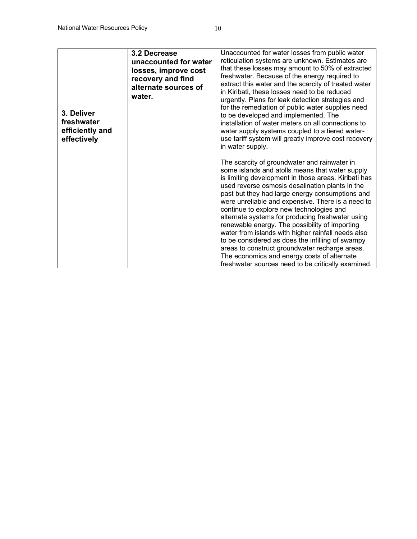| 3. Deliver<br>freshwater<br>efficiently and<br>effectively | 3.2 Decrease<br>unaccounted for water<br>losses, improve cost<br>recovery and find<br>alternate sources of<br>water. | Unaccounted for water losses from public water<br>reticulation systems are unknown. Estimates are<br>that these losses may amount to 50% of extracted<br>freshwater. Because of the energy required to<br>extract this water and the scarcity of treated water<br>in Kiribati, these losses need to be reduced<br>urgently. Plans for leak detection strategies and<br>for the remediation of public water supplies need<br>to be developed and implemented. The<br>installation of water meters on all connections to<br>water supply systems coupled to a tiered water-<br>use tariff system will greatly improve cost recovery<br>in water supply.                                                                                 |
|------------------------------------------------------------|----------------------------------------------------------------------------------------------------------------------|---------------------------------------------------------------------------------------------------------------------------------------------------------------------------------------------------------------------------------------------------------------------------------------------------------------------------------------------------------------------------------------------------------------------------------------------------------------------------------------------------------------------------------------------------------------------------------------------------------------------------------------------------------------------------------------------------------------------------------------|
|                                                            |                                                                                                                      | The scarcity of groundwater and rainwater in<br>some islands and atolls means that water supply<br>is limiting development in those areas. Kiribati has<br>used reverse osmosis desalination plants in the<br>past but they had large energy consumptions and<br>were unreliable and expensive. There is a need to<br>continue to explore new technologies and<br>alternate systems for producing freshwater using<br>renewable energy. The possibility of importing<br>water from islands with higher rainfall needs also<br>to be considered as does the infilling of swampy<br>areas to construct groundwater recharge areas.<br>The economics and energy costs of alternate<br>freshwater sources need to be critically examined. |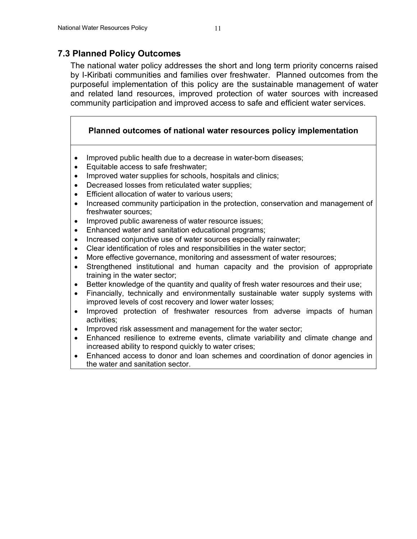#### **7.3 Planned Policy Outcomes**

The national water policy addresses the short and long term priority concerns raised by I-Kiribati communities and families over freshwater. Planned outcomes from the purposeful implementation of this policy are the sustainable management of water and related land resources, improved protection of water sources with increased community participation and improved access to safe and efficient water services.

#### **Planned outcomes of national water resources policy implementation**

- Improved public health due to a decrease in water-born diseases;
- Equitable access to safe freshwater;
- Improved water supplies for schools, hospitals and clinics;
- Decreased losses from reticulated water supplies;
- Efficient allocation of water to various users;
- Increased community participation in the protection, conservation and management of freshwater sources;
- Improved public awareness of water resource issues;
- Enhanced water and sanitation educational programs;
- Increased conjunctive use of water sources especially rainwater;
- Clear identification of roles and responsibilities in the water sector;
- More effective governance, monitoring and assessment of water resources;
- Strengthened institutional and human capacity and the provision of appropriate training in the water sector;
- Better knowledge of the quantity and quality of fresh water resources and their use;
- Financially, technically and environmentally sustainable water supply systems with improved levels of cost recovery and lower water losses;
- Improved protection of freshwater resources from adverse impacts of human activities;
- Improved risk assessment and management for the water sector;
- Enhanced resilience to extreme events, climate variability and climate change and increased ability to respond quickly to water crises;
- Enhanced access to donor and loan schemes and coordination of donor agencies in the water and sanitation sector.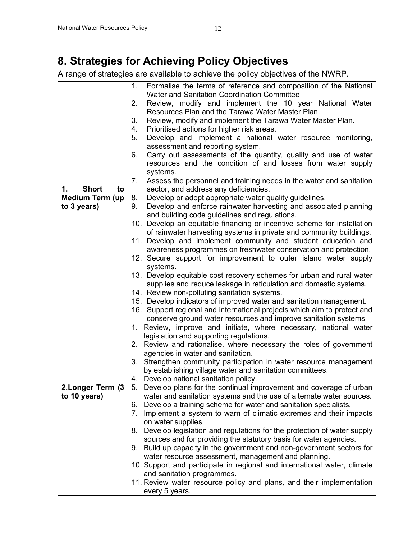## **8. Strategies for Achieving Policy Objectives**

A range of strategies are available to achieve the policy objectives of the NWRP.

|                          | 1.<br>Formalise the terms of reference and composition of the National    |  |  |
|--------------------------|---------------------------------------------------------------------------|--|--|
|                          | <b>Water and Sanitation Coordination Committee</b>                        |  |  |
|                          | Review, modify and implement the 10 year National Water<br>2.             |  |  |
|                          | Resources Plan and the Tarawa Water Master Plan.                          |  |  |
|                          | Review, modify and implement the Tarawa Water Master Plan.<br>3.          |  |  |
|                          | Prioritised actions for higher risk areas.<br>4.                          |  |  |
|                          | Develop and implement a national water resource monitoring,<br>5.         |  |  |
|                          | assessment and reporting system.                                          |  |  |
|                          | Carry out assessments of the quantity, quality and use of water<br>6.     |  |  |
|                          | resources and the condition of and losses from water supply               |  |  |
|                          | systems.                                                                  |  |  |
|                          | Assess the personnel and training needs in the water and sanitation<br>7. |  |  |
| <b>Short</b><br>to<br>1. | sector, and address any deficiencies.                                     |  |  |
| <b>Medium Term (up</b>   | Develop or adopt appropriate water quality guidelines.<br>8.              |  |  |
| to 3 years)              | Develop and enforce rainwater harvesting and associated planning<br>9.    |  |  |
|                          | and building code guidelines and regulations.                             |  |  |
|                          | 10. Develop an equitable financing or incentive scheme for installation   |  |  |
|                          | of rainwater harvesting systems in private and community buildings.       |  |  |
|                          | 11. Develop and implement community and student education and             |  |  |
|                          | awareness programmes on freshwater conservation and protection.           |  |  |
|                          |                                                                           |  |  |
|                          | 12. Secure support for improvement to outer island water supply           |  |  |
|                          | systems.                                                                  |  |  |
|                          | 13. Develop equitable cost recovery schemes for urban and rural water     |  |  |
|                          | supplies and reduce leakage in reticulation and domestic systems.         |  |  |
|                          | 14. Review non-polluting sanitation systems.                              |  |  |
|                          | 15. Develop indicators of improved water and sanitation management.       |  |  |
|                          | 16. Support regional and international projects which aim to protect and  |  |  |
|                          | conserve ground water resources and improve sanitation systems            |  |  |
|                          | 1. Review, improve and initiate, where necessary, national water          |  |  |
|                          | legislation and supporting regulations.                                   |  |  |
|                          | 2. Review and rationalise, where necessary the roles of government        |  |  |
|                          | agencies in water and sanitation.                                         |  |  |
|                          | 3. Strengthen community participation in water resource management        |  |  |
|                          | by establishing village water and sanitation committees.                  |  |  |
|                          | 4. Develop national sanitation policy.                                    |  |  |
| 2. Longer Term (3        | 5. Develop plans for the continual improvement and coverage of urban      |  |  |
| to 10 years)             | water and sanitation systems and the use of alternate water sources.      |  |  |
|                          | Develop a training scheme for water and sanitation specialists.<br>6.     |  |  |
|                          | Implement a system to warn of climatic extremes and their impacts<br>7.   |  |  |
|                          | on water supplies.                                                        |  |  |
|                          | 8. Develop legislation and regulations for the protection of water supply |  |  |
|                          | sources and for providing the statutory basis for water agencies.         |  |  |
|                          | 9. Build up capacity in the government and non-government sectors for     |  |  |
|                          | water resource assessment, management and planning.                       |  |  |
|                          | 10. Support and participate in regional and international water, climate  |  |  |
|                          | and sanitation programmes.                                                |  |  |
|                          | 11. Review water resource policy and plans, and their implementation      |  |  |
|                          | every 5 years.                                                            |  |  |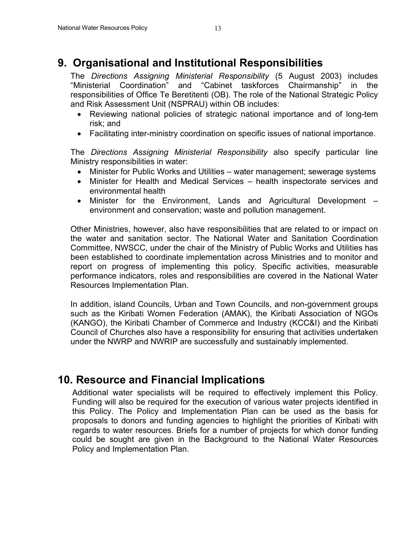#### **9. Organisational and Institutional Responsibilities**

The *Directions Assigning Ministerial Responsibility* (5 August 2003) includes "Ministerial Coordination" and "Cabinet taskforces Chairmanship" in the responsibilities of Office Te Beretitenti (OB). The role of the National Strategic Policy and Risk Assessment Unit (NSPRAU) within OB includes:

- Reviewing national policies of strategic national importance and of long-tem risk; and
- Facilitating inter-ministry coordination on specific issues of national importance.

The *Directions Assigning Ministerial Responsibility* also specify particular line Ministry responsibilities in water:

- Minister for Public Works and Utilities water management; sewerage systems
- Minister for Health and Medical Services health inspectorate services and environmental health
- Minister for the Environment, Lands and Agricultural Development environment and conservation; waste and pollution management.

Other Ministries, however, also have responsibilities that are related to or impact on the water and sanitation sector. The National Water and Sanitation Coordination Committee, NWSCC, under the chair of the Ministry of Public Works and Utilities has been established to coordinate implementation across Ministries and to monitor and report on progress of implementing this policy. Specific activities, measurable performance indicators, roles and responsibilities are covered in the National Water Resources Implementation Plan.

In addition, island Councils, Urban and Town Councils, and non-government groups such as the Kiribati Women Federation (AMAK), the Kiribati Association of NGOs (KANGO), the Kiribati Chamber of Commerce and Industry (KCC&I) and the Kiribati Council of Churches also have a responsibility for ensuring that activities undertaken under the NWRP and NWRIP are successfully and sustainably implemented.

#### **10. Resource and Financial Implications**

Additional water specialists will be required to effectively implement this Policy. Funding will also be required for the execution of various water projects identified in this Policy. The Policy and Implementation Plan can be used as the basis for proposals to donors and funding agencies to highlight the priorities of Kiribati with regards to water resources. Briefs for a number of projects for which donor funding could be sought are given in the Background to the National Water Resources Policy and Implementation Plan.